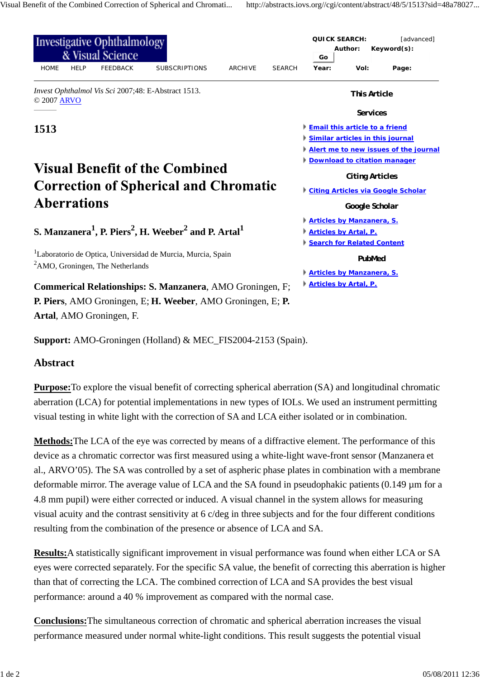| <b>Investigative Ophthalmology</b><br>& Visual Science                                                                                                                     |             |                          |                                                             |                |               |                                                                                       | <b>QUICK SEARCH:</b><br>[advanced]<br>Author:<br>Keyword(s):<br>Go                                                   |       |                                  |  |  |                                  |  |  |
|----------------------------------------------------------------------------------------------------------------------------------------------------------------------------|-------------|--------------------------|-------------------------------------------------------------|----------------|---------------|---------------------------------------------------------------------------------------|----------------------------------------------------------------------------------------------------------------------|-------|----------------------------------|--|--|----------------------------------|--|--|
| <b>HOME</b>                                                                                                                                                                | <b>HELP</b> | <b>FEEDBACK</b>          | <b>SUBSCRIPTIONS</b>                                        | <b>ARCHIVE</b> | <b>SEARCH</b> | Year:                                                                                 | Vol:                                                                                                                 | Page: |                                  |  |  |                                  |  |  |
| Invest Ophthalmol Vis Sci 2007;48: E-Abstract 1513.<br>© 2007 ARVO                                                                                                         |             |                          |                                                             |                |               | <b>This Article</b>                                                                   |                                                                                                                      |       |                                  |  |  |                                  |  |  |
|                                                                                                                                                                            |             |                          |                                                             |                |               |                                                                                       | <b>Services</b>                                                                                                      |       |                                  |  |  |                                  |  |  |
| 1513                                                                                                                                                                       |             |                          |                                                             |                |               | <b>Email this article to a friend</b>                                                 |                                                                                                                      |       |                                  |  |  |                                  |  |  |
|                                                                                                                                                                            |             |                          |                                                             |                |               | Similar articles in this journal                                                      |                                                                                                                      |       |                                  |  |  |                                  |  |  |
|                                                                                                                                                                            |             |                          |                                                             |                |               |                                                                                       | Alert me to new issues of the journal                                                                                |       |                                  |  |  |                                  |  |  |
| <b>Visual Benefit of the Combined</b>                                                                                                                                      |             |                          |                                                             |                |               | <b>Download to citation manager</b>                                                   |                                                                                                                      |       |                                  |  |  |                                  |  |  |
| <b>Correction of Spherical and Chromatic</b><br><b>Aberrations</b><br>S. Manzanera <sup>1</sup> , P. Piers <sup>2</sup> , H. Weeber <sup>2</sup> and P. Artal <sup>1</sup> |             |                          |                                                             |                |               | <b>Citing Articles</b><br><b>Citing Articles via Google Scholar</b><br>Google Scholar |                                                                                                                      |       |                                  |  |  |                                  |  |  |
|                                                                                                                                                                            |             |                          |                                                             |                |               |                                                                                       |                                                                                                                      |       | <b>Articles by Manzanera, S.</b> |  |  |                                  |  |  |
|                                                                                                                                                                            |             |                          |                                                             |                |               |                                                                                       |                                                                                                                      |       | <b>Articles by Artal, P.</b>     |  |  |                                  |  |  |
|                                                                                                                                                                            |             |                          |                                                             |                |               | Search for Related Content                                                            |                                                                                                                      |       |                                  |  |  |                                  |  |  |
|                                                                                                                                                                            |             |                          |                                                             |                |               |                                                                                       | <sup>1</sup> Laboratorio de Optica, Universidad de Murcia, Murcia, Spain<br>${}^{2}$ AMO, Groningen, The Netherlands |       |                                  |  |  | PubMed                           |  |  |
|                                                                                                                                                                            |             |                          |                                                             |                |               |                                                                                       |                                                                                                                      |       |                                  |  |  | <b>Articles by Manzanera, S.</b> |  |  |
| <b>Commerical Relationships: S. Manzanera, AMO Groningen, F;</b>                                                                                                           |             |                          |                                                             |                |               | <b>Articles by Artal, P.</b>                                                          |                                                                                                                      |       |                                  |  |  |                                  |  |  |
|                                                                                                                                                                            |             |                          | P. Piers, AMO Groningen, E; H. Weeber, AMO Groningen, E; P. |                |               |                                                                                       |                                                                                                                      |       |                                  |  |  |                                  |  |  |
|                                                                                                                                                                            |             | Artal, AMO Groningen, F. |                                                             |                |               |                                                                                       |                                                                                                                      |       |                                  |  |  |                                  |  |  |

**Support:** AMO-Groningen (Holland) & MEC\_FIS2004-2153 (Spain).

## **Abstract**

**Purpose:**To explore the visual benefit of correcting spherical aberration (SA) and longitudinal chromatic aberration (LCA) for potential implementations in new types of IOLs. We used an instrument permitting visual testing in white light with the correction of SA and LCA either isolated or in combination.

**Methods:**The LCA of the eye was corrected by means of a diffractive element. The performance of this device as a chromatic corrector was first measured using a white-light wave-front sensor (Manzanera et al., ARVO'05). The SA was controlled by a set of aspheric phase plates in combination with a membrane deformable mirror. The average value of LCA and the SA found in pseudophakic patients (0.149 µm for a 4.8 mm pupil) were either corrected or induced. A visual channel in the system allows for measuring visual acuity and the contrast sensitivity at 6 c/deg in three subjects and for the four different conditions resulting from the combination of the presence or absence of LCA and SA.

**Results:**A statistically significant improvement in visual performance was found when either LCA or SA eyes were corrected separately. For the specific SA value, the benefit of correcting this aberration is higher than that of correcting the LCA. The combined correction of LCA and SA provides the best visual performance: around a 40 % improvement as compared with the normal case.

**Conclusions:**The simultaneous correction of chromatic and spherical aberration increases the visual performance measured under normal white-light conditions. This result suggests the potential visual